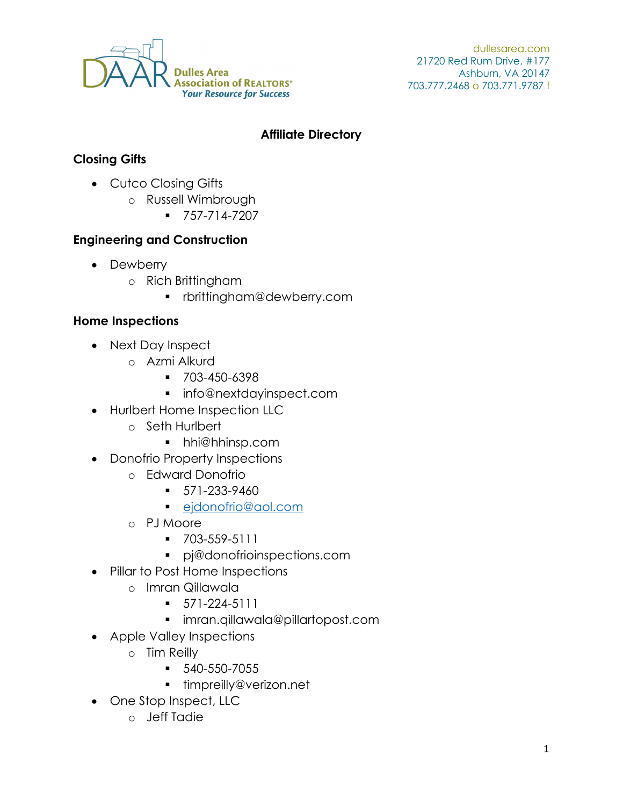

dullesarea.com 21720 Red Rum Drive, #177 Ashburn, VA 20147 703.777.2468 o 703.771.9787 f

#### **Affiliate Directory**

### **Closing Gifts**

- Cutco Closing Gifts
	- o Russell Wimbrough
		- $-757-714-7207$

#### **Engineering and Construction**

- Dewberry
	- o Rich Brittingham
		- rbrittingham@dewberry.com

### **Home Inspections**

- Next Day Inspect
	- o Azmi Alkurd
		- $-703 450 6398$
		- info@nextdayinspect.com
- Hurlbert Home Inspection LLC
	- o Seth Hurlbert
		- hhi@hhinsp.com
- Donofrio Property Inspections
	- o Edward Donofrio
		- $-571-233-9460$
		- ejdonofrio@aol.com
	- o PJ Moore
		- 703-559-5111
		- pj@donofrioinspections.com
- Pillar to Post Home Inspections
	- o Imran Qillawala
		- $\blacksquare$  571-224-5111
		- imran.qillawala@pillartopost.com
- Apple Valley Inspections
	- o Tim Reilly
		- $-540-550-7055$
		- timpreilly@verizon.net
- One Stop Inspect, LLC
	- o Jeff Tadie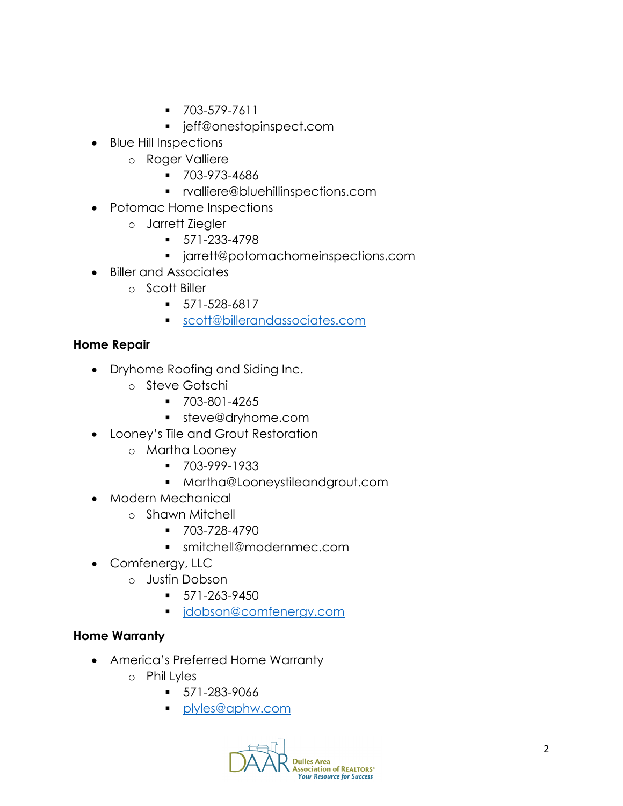- 703-579-7611
- **·** jeff@onestopinspect.com
- Blue Hill Inspections
	- o Roger Valliere
		- $-703-973-4686$
		- rvalliere@bluehillinspections.com
- Potomac Home Inspections
	- o Jarrett Ziegler
		- 571-233-4798
		- jarrett@potomachomeinspections.com
- Biller and Associates
	- o Scott Biller
		- 571-528-6817
		- scott@billerandassociates.com

### **Home Repair**

- Dryhome Roofing and Siding Inc.
	- o Steve Gotschi
		- 703-801-4265
		- **steve@dryhome.com**
- Looney's Tile and Grout Restoration
	- o Martha Looney
		- 703-999-1933
		- Martha@Looneystileandgrout.com
- Modern Mechanical
	- o Shawn Mitchell
		- 703-728-4790
		- smitchell@modernmec.com
- Comfenergy, LLC
	- o Justin Dobson
		- $-571-263-9450$
		- **i** idobson@comfenergy.com

### **Home Warranty**

- America's Preferred Home Warranty
	- o Phil Lyles
		- $-571-283-9066$
		- **plyles@aphw.com**

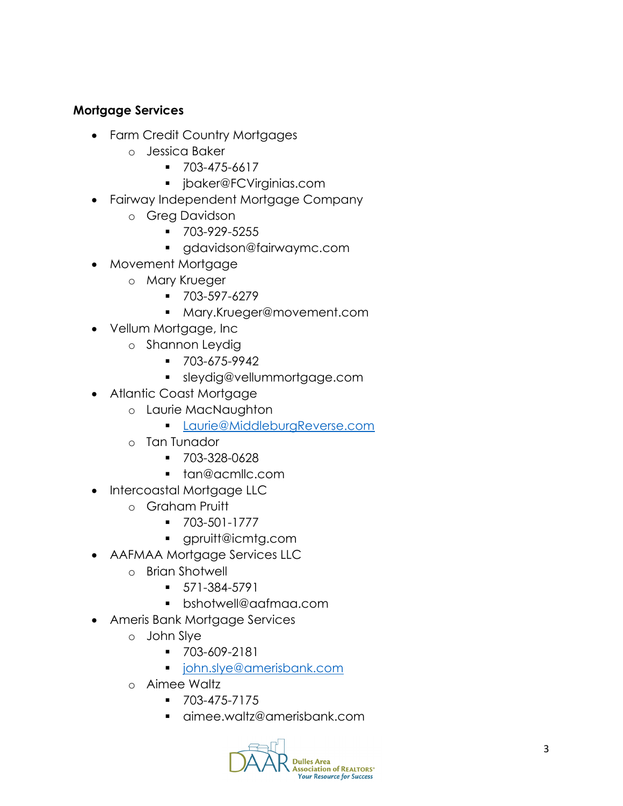### **Mortgage Services**

- Farm Credit Country Mortgages
	- o Jessica Baker
		- 703-475-6617
		- jbaker@FCVirginias.com
- Fairway Independent Mortgage Company
	- o Greg Davidson
		- 703-929-5255
		- gdavidson@fairwaymc.com
- Movement Mortgage
	- o Mary Krueger
		- 703-597-6279
		- Mary.Krueger@movement.com
- Vellum Mortgage, Inc
	- o Shannon Leydig
		- 703-675-9942
		- sleydig@vellummortgage.com
- Atlantic Coast Mortgage
	- o Laurie MacNaughton
		- **Laurie@MiddleburgReverse.com**
	- o Tan Tunador
		- 703-328-0628
		- **tan@acmllc.com**
- Intercoastal Mortgage LLC
	- o Graham Pruitt
		- $-703-501-1777$
		- gpruitt@icmtg.com
- AAFMAA Mortgage Services LLC
	- o Brian Shotwell
		- 571-384-5791
		- bshotwell@aafmaa.com
- Ameris Bank Mortgage Services
	- o John Slye
		- 703-609-2181
		- john.slye@amerisbank.com
	- o Aimee Waltz
		- $-703-475-7175$
		- aimee.waltz@amerisbank.com

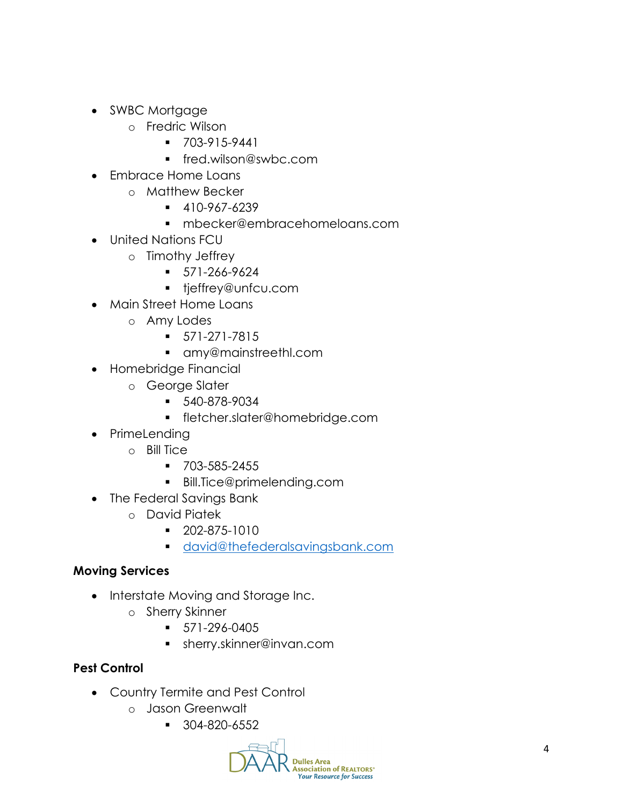- SWBC Mortgage
	- o Fredric Wilson
		- $-703-915-9441$
		- fred.wilson@swbc.com
- Embrace Home Loans
	- o Matthew Becker
		- $-410-967-6239$
		- mbecker@embracehomeloans.com
- United Nations FCU
	- o Timothy Jeffrey
		- 571-266-9624
		- **tieffrey@unfcu.com**
- Main Street Home Loans
	- o Amy Lodes
		- 571-271-7815
		- amy@mainstreethl.com
- Homebridge Financial
	- o George Slater
		- 540-878-9034
		- fletcher.slater@homebridge.com
- PrimeLending
	- o Bill Tice
		- 703-585-2455
		- Bill.Tice@primelending.com
- The Federal Savings Bank
	- o David Piatek
		- 202-875-1010
		- **david@thefederalsavingsbank.com**

# **Moving Services**

- Interstate Moving and Storage Inc.
	- o Sherry Skinner
		- $-571-296-0405$
		- sherry.skinner@invan.com

# **Pest Control**

- Country Termite and Pest Control
	- o Jason Greenwalt
		- $-304-820-6552$

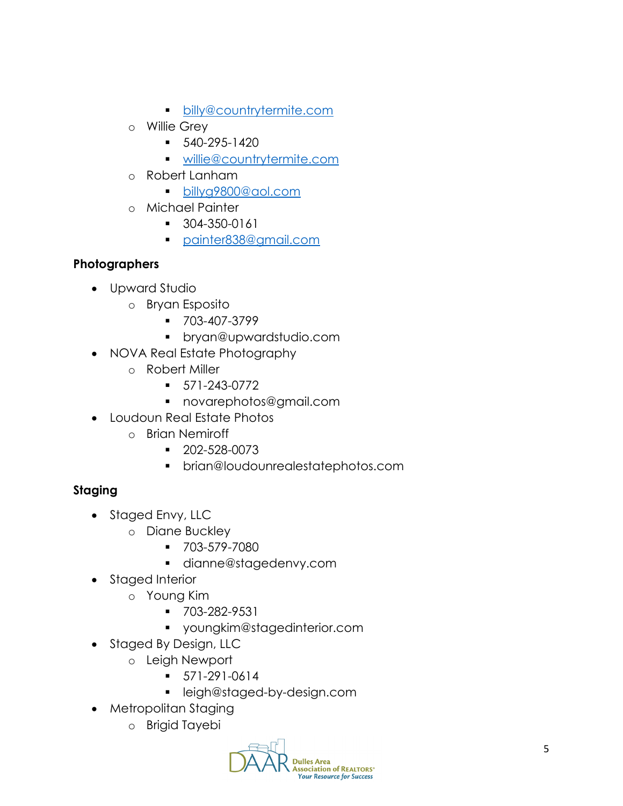- **billy@countrytermite.com**
- o Willie Grey
	- $-540-295-1420$
	- **willie@countrytermite.com**
- o Robert Lanham
	- billyg9800@aol.com
- o Michael Painter
	- 304-350-0161
	- painter838@gmail.com

# **Photographers**

- Upward Studio
	- o Bryan Esposito
		- 703-407-3799
		- bryan@upwardstudio.com
- NOVA Real Estate Photography
	- o Robert Miller
		- 571-243-0772
		- novarephotos@gmail.com
- Loudoun Real Estate Photos
	- o Brian Nemiroff
		- 202-528-0073
		- brian@loudounrealestatephotos.com

# **Staging**

- Staged Envy, LLC
	- o Diane Buckley
		- 703-579-7080
		- dianne@stagedenvy.com
- Staged Interior
	- o Young Kim
		- V 703-282-9531
		- youngkim@stagedinterior.com
- Staged By Design, LLC
	- o Leigh Newport
		- 571-291-0614
		- leigh@staged-by-design.com
- Metropolitan Staging
	- o Brigid Tayebi